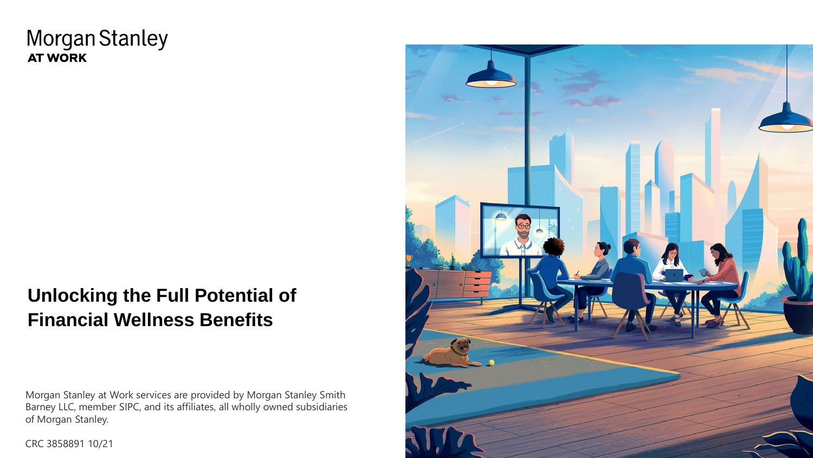# **Morgan Stanley AT WORK**

# **Unlocking the Full Potential of Financial Wellness Benefits**

Morgan Stanley at Work services are provided by Morgan Stanley Smith Barney LLC, member SIPC, and its affiliates, all wholly owned subsidiaries of Morgan Stanley.

CRC 3858891 10/21

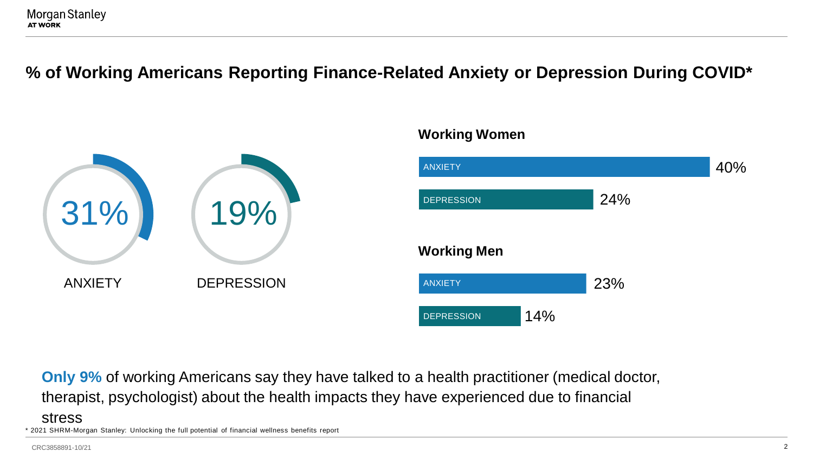# **% of Working Americans Reporting Finance-Related Anxiety or Depression During COVID\***





\* 2021 SHRM-Morgan Stanley: Unlocking the full potential of financial wellness benefits report **Only 9%** of working Americans say they have talked to a health practitioner (medical doctor, therapist, psychologist) about the health impacts they have experienced due to financial stress

#### CRC3858891-10/21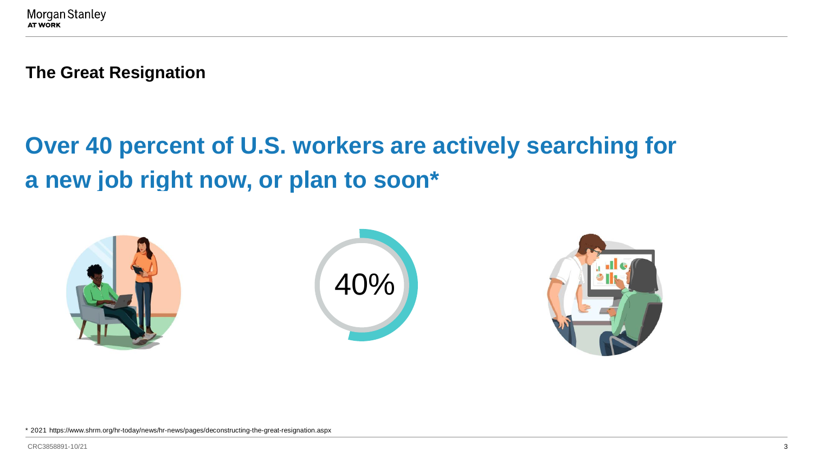**The Great Resignation**

# **Over 40 percent of U.S. workers are actively searching for a new job right now, or plan to soon\***



\* 2021 https://www.shrm.org/hr-today/news/hr-news/pages/deconstructing-the-great-resignation.aspx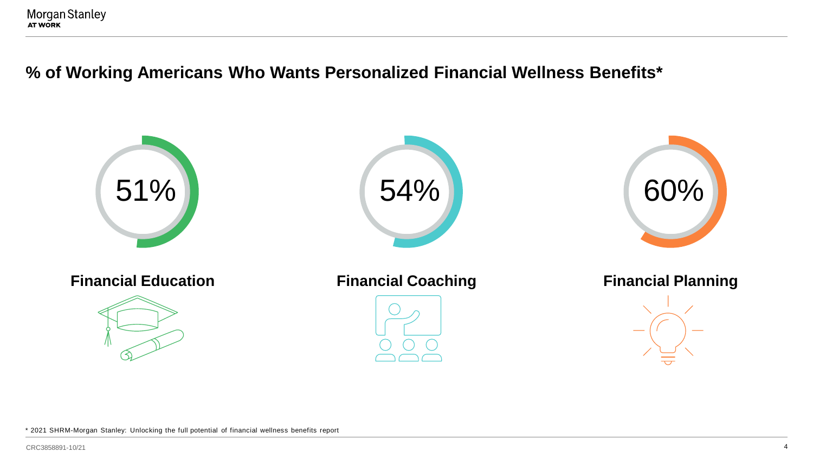### **% of Working Americans Who Wants Personalized Financial Wellness Benefits\***

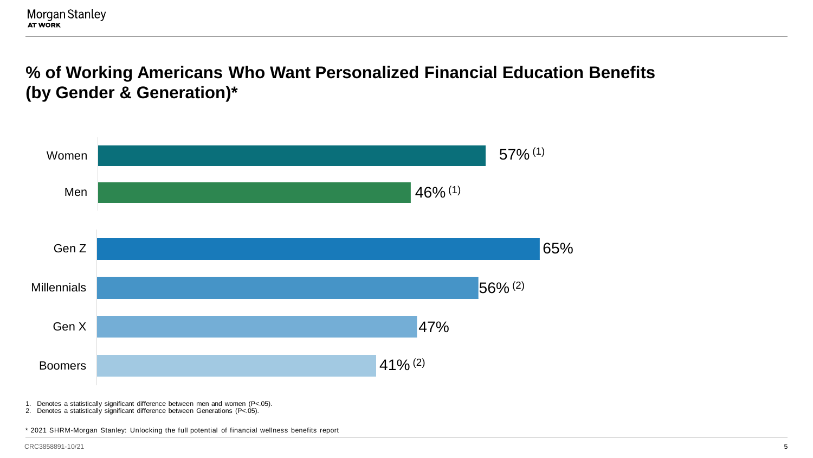**% of Working Americans Who Want Personalized Financial Education Benefits (by Gender & Generation)\***



1. Denotes a statistically significant difference between men and women (P<.05).

2. Denotes a statistically significant difference between Generations (P<.05).

\* 2021 SHRM-Morgan Stanley: Unlocking the full potential of financial wellness benefits report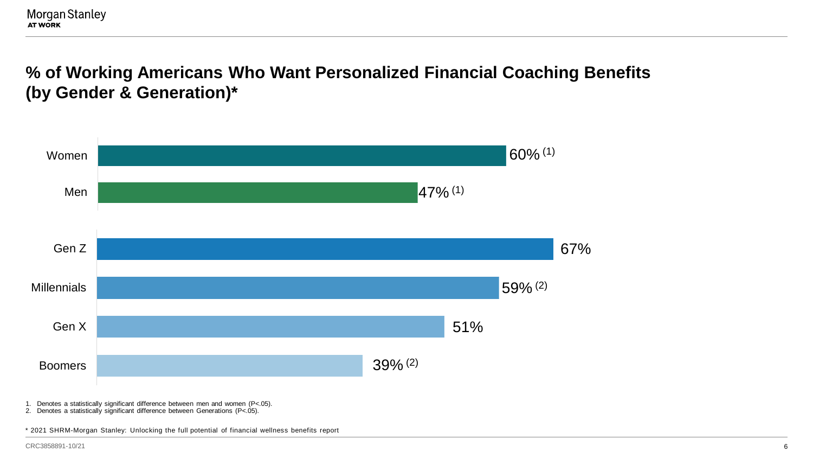**% of Working Americans Who Want Personalized Financial Coaching Benefits (by Gender & Generation)\***



1. Denotes a statistically significant difference between men and women (P<.05).

2. Denotes a statistically significant difference between Generations (P<.05).

\* 2021 SHRM-Morgan Stanley: Unlocking the full potential of financial wellness benefits report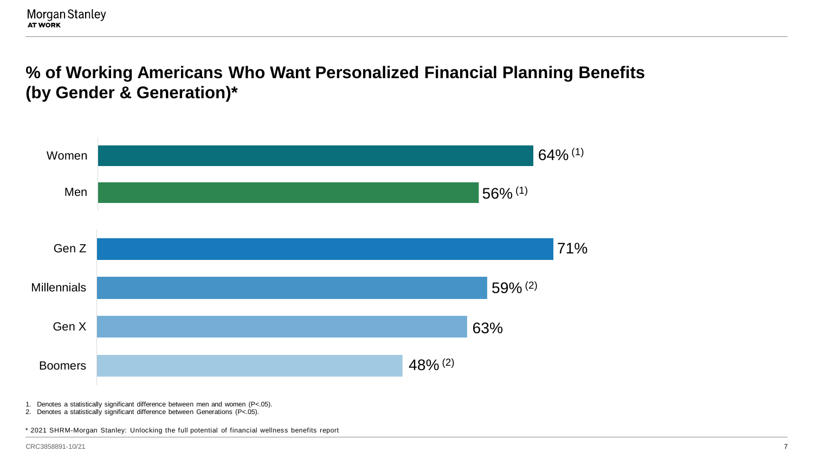**% of Working Americans Who Want Personalized Financial Planning Benefits (by Gender & Generation)\***

![](_page_6_Figure_2.jpeg)

1. Denotes a statistically significant difference between men and women (P<.05).

2. Denotes a statistically significant difference between Generations (P<.05).

\* 2021 SHRM-Morgan Stanley: Unlocking the full potential of financial wellness benefits report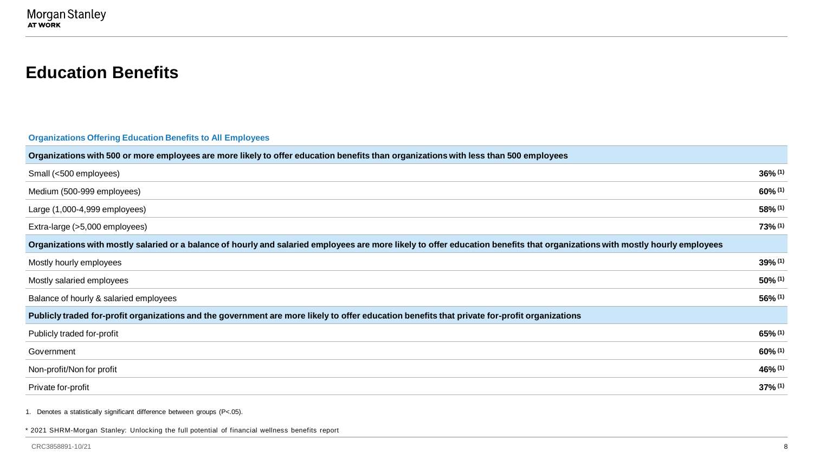### **Education Benefits**

**Organizations Offering Education Benefits to All Employees**

| Organizations with 500 or more employees are more likely to offer education benefits than organizations with less than 500 employees                                         |            |
|------------------------------------------------------------------------------------------------------------------------------------------------------------------------------|------------|
| Small (<500 employees)                                                                                                                                                       | $36\%$ (1) |
| Medium (500-999 employees)                                                                                                                                                   | $60\%$ (1) |
| Large (1,000-4,999 employees)                                                                                                                                                | 58% (1)    |
| Extra-large (>5,000 employees)                                                                                                                                               | $73\%$ (1) |
| Organizations with mostly salaried or a balance of hourly and salaried employees are more likely to offer education benefits that organizations with mostly hourly employees |            |
| Mostly hourly employees                                                                                                                                                      | $39\%$ (1) |
| Mostly salaried employees                                                                                                                                                    | $50\%$ (1) |
| Balance of hourly & salaried employees                                                                                                                                       | 56% (1)    |
| Publicly traded for-profit organizations and the government are more likely to offer education benefits that private for-profit organizations                                |            |
| Publicly traded for-profit                                                                                                                                                   | $65\%$ (1) |
| Government                                                                                                                                                                   | $60\%$ (1) |
| Non-profit/Non for profit                                                                                                                                                    | 46% (1)    |
| Private for-profit                                                                                                                                                           | $37%$ (1)  |

1. Denotes a statistically significant difference between groups (P<.05).

\* 2021 SHRM-Morgan Stanley: Unlocking the full potential of financial wellness benefits report

CRC3858891-10/21